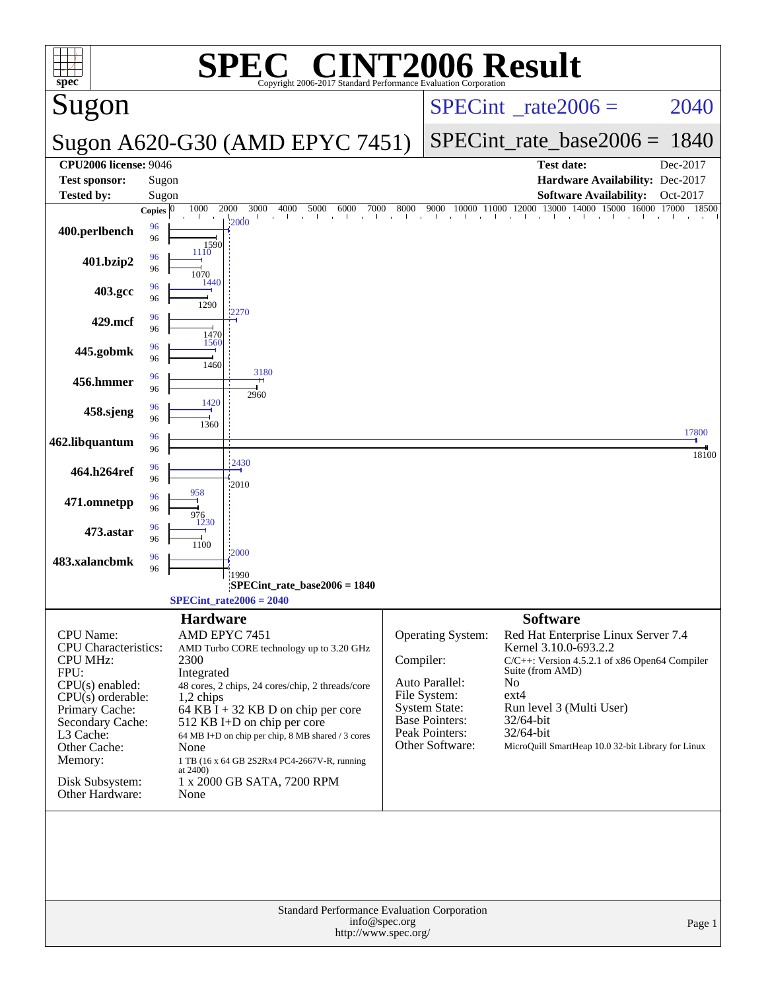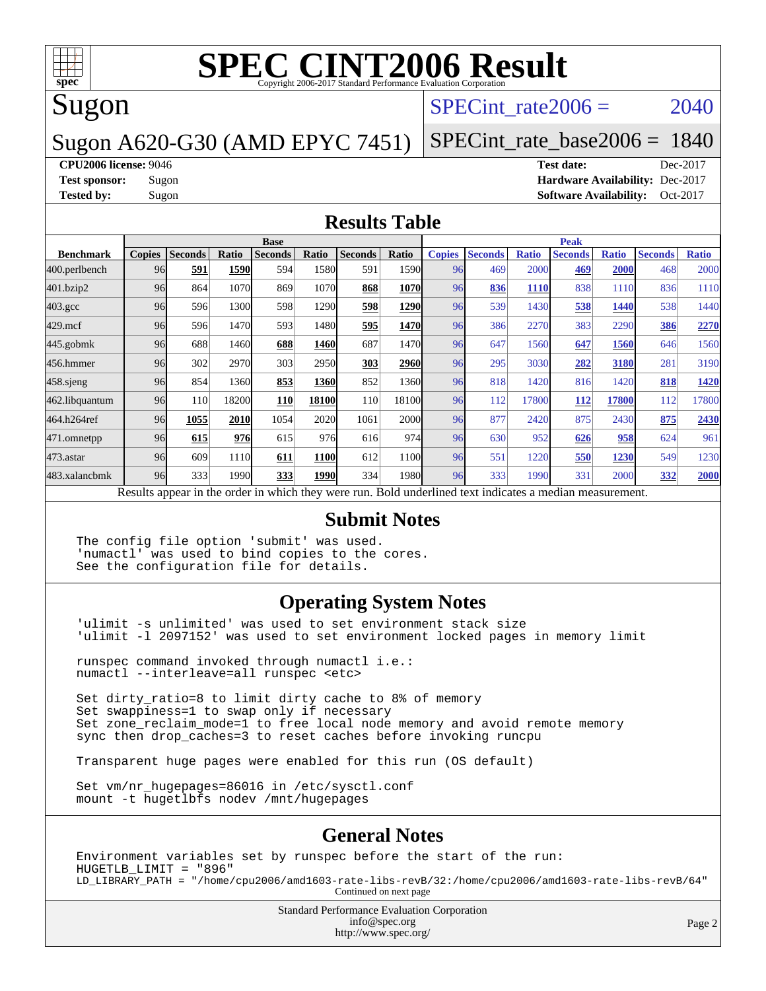

# Sugon

### SPECint rate $2006 = 2040$

## Sugon A620-G30 (AMD EPYC 7451)

[SPECint\\_rate\\_base2006 =](http://www.spec.org/auto/cpu2006/Docs/result-fields.html#SPECintratebase2006) 1840

#### **[CPU2006 license:](http://www.spec.org/auto/cpu2006/Docs/result-fields.html#CPU2006license)** 9046 **[Test date:](http://www.spec.org/auto/cpu2006/Docs/result-fields.html#Testdate)** Dec-2017

**[Test sponsor:](http://www.spec.org/auto/cpu2006/Docs/result-fields.html#Testsponsor)** Sugon **[Hardware Availability:](http://www.spec.org/auto/cpu2006/Docs/result-fields.html#HardwareAvailability)** Dec-2017 **[Tested by:](http://www.spec.org/auto/cpu2006/Docs/result-fields.html#Testedby)** Sugon **[Software Availability:](http://www.spec.org/auto/cpu2006/Docs/result-fields.html#SoftwareAvailability)** Oct-2017

#### **[Results Table](http://www.spec.org/auto/cpu2006/Docs/result-fields.html#ResultsTable)**

|                                                                                                         | <b>Base</b>   |                |       |                |       |                |             | <b>Peak</b>   |                |              |                |              |                |              |
|---------------------------------------------------------------------------------------------------------|---------------|----------------|-------|----------------|-------|----------------|-------------|---------------|----------------|--------------|----------------|--------------|----------------|--------------|
| <b>Benchmark</b>                                                                                        | <b>Copies</b> | <b>Seconds</b> | Ratio | <b>Seconds</b> | Ratio | <b>Seconds</b> | Ratio       | <b>Copies</b> | <b>Seconds</b> | <b>Ratio</b> | <b>Seconds</b> | <b>Ratio</b> | <b>Seconds</b> | <b>Ratio</b> |
| 400.perlbench                                                                                           | 96            | 591            | 1590  | 594            | 1580  | 591            | 1590        | 96            | 469            | 2000         | 469            | 2000         | 468            | 2000         |
| 401.bzip2                                                                                               | 96            | 864            | 1070  | 869            | 1070  | 868            | 1070        | 96            | 836            | <b>1110</b>  | 838            | 1110         | 836            | 1110         |
| $403.\text{gcc}$                                                                                        | 96            | 596            | 1300  | 598            | 1290  | 598            | 1290        | 96            | 539            | 1430         | 538            | 1440         | 538            | 1440         |
| $429$ .mcf                                                                                              | 96            | 596            | 1470  | 593            | 1480  | 595            | 1470        | 96            | 386            | 2270         | 383            | 2290         | 386            | 2270         |
| $445$ .gobmk                                                                                            | 96            | 688            | 1460  | 688            | 1460  | 687            | 1470        | 96            | 647            | 1560         | 647            | 1560         | 646            | 1560         |
| 456.hmmer                                                                                               | 96            | 302            | 2970  | 303            | 2950  | 303            | 2960        | 96            | 295            | 3030         | 282            | 3180         | 281            | 3190         |
| $458$ .sjeng                                                                                            | 96            | 854            | 1360  | 853            | 1360  | 852            | 1360        | 96            | 818            | 1420         | 816            | 1420         | 818            | 1420         |
| 462.libquantum                                                                                          | 96            | <b>110</b>     | 18200 | <b>110</b>     | 18100 | 110            | 18100       | 96            | 112            | 17800        | 112            | <b>17800</b> | 112            | 17800        |
| 464.h264ref                                                                                             | 96            | 1055           | 2010  | 1054           | 2020  | 1061           | <b>2000</b> | 96            | 877            | 2420         | 875            | 2430         | 875            | 2430         |
| 471.omnetpp                                                                                             | 96            | 615            | 976   | 615            | 976   | 616            | 974         | 96            | 630            | 952          | 626            | 958          | 624            | 961          |
| $473$ . astar                                                                                           | 96            | 609            | 1110  | 611            | 1100  | 612            | 1100        | 96            | 551            | 1220         | 550            | 1230         | 549            | 1230         |
| 483.xalancbmk                                                                                           | 96            | 333            | 1990  | 333            | 1990  | 334            | 1980        | 96            | 333            | 1990         | 331            | 2000         | 332            | 2000         |
| Decute ennoye in the order in which they were my<br>Dold underlined text indicates a madian measurement |               |                |       |                |       |                |             |               |                |              |                |              |                |              |

Results appear in the [order in which they were run.](http://www.spec.org/auto/cpu2006/Docs/result-fields.html#RunOrder) Bold underlined text [indicates a median measurement.](http://www.spec.org/auto/cpu2006/Docs/result-fields.html#Median)

#### **[Submit Notes](http://www.spec.org/auto/cpu2006/Docs/result-fields.html#SubmitNotes)**

The config file option 'submit' was used. 'numactl' was used to bind copies to the cores. See the configuration file for details.

#### **[Operating System Notes](http://www.spec.org/auto/cpu2006/Docs/result-fields.html#OperatingSystemNotes)**

'ulimit -s unlimited' was used to set environment stack size 'ulimit -l 2097152' was used to set environment locked pages in memory limit

runspec command invoked through numactl i.e.: numactl --interleave=all runspec <etc>

Set dirty\_ratio=8 to limit dirty cache to 8% of memory Set swappiness=1 to swap only if necessary Set zone\_reclaim\_mode=1 to free local node memory and avoid remote memory sync then drop\_caches=3 to reset caches before invoking runcpu

Transparent huge pages were enabled for this run (OS default)

Set vm/nr\_hugepages=86016 in /etc/sysctl.conf mount -t hugetlbfs nodev /mnt/hugepages

#### **[General Notes](http://www.spec.org/auto/cpu2006/Docs/result-fields.html#GeneralNotes)**

Environment variables set by runspec before the start of the run: HUGETLB\_LIMIT = "896" LD\_LIBRARY\_PATH = "/home/cpu2006/amd1603-rate-libs-revB/32:/home/cpu2006/amd1603-rate-libs-revB/64" Continued on next page

> Standard Performance Evaluation Corporation [info@spec.org](mailto:info@spec.org) <http://www.spec.org/>

Page 2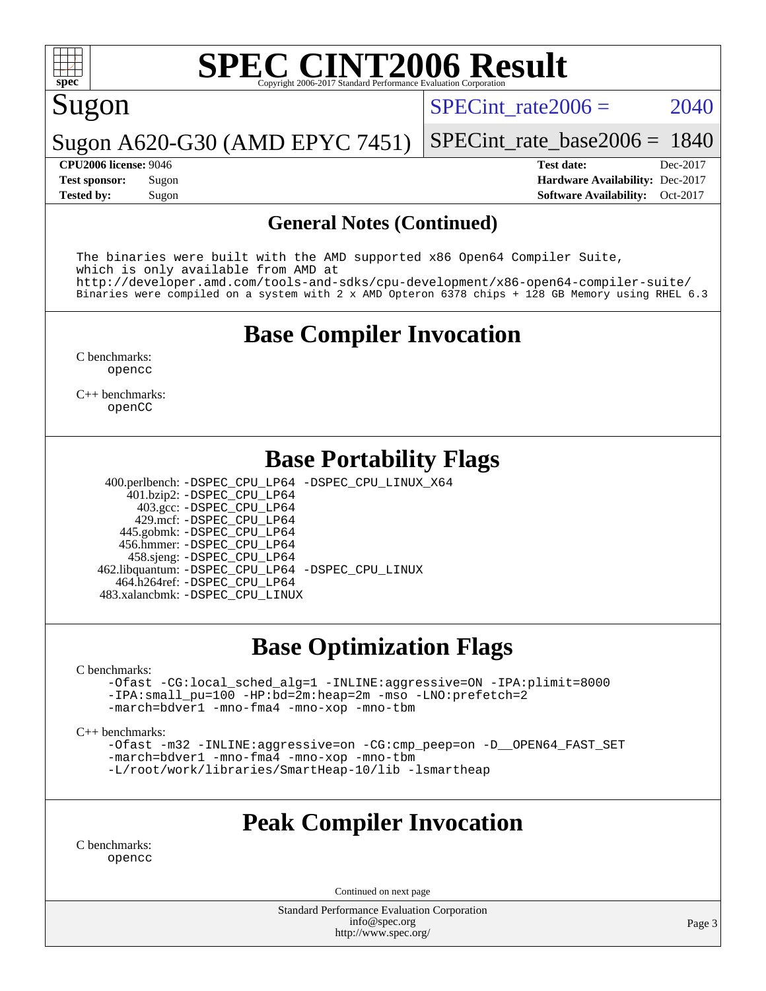

# Sugon

SPECint rate $2006 = 2040$ 

Sugon A620-G30 (AMD EPYC 7451) [SPECint\\_rate\\_base2006 =](http://www.spec.org/auto/cpu2006/Docs/result-fields.html#SPECintratebase2006) 1840

**[CPU2006 license:](http://www.spec.org/auto/cpu2006/Docs/result-fields.html#CPU2006license)** 9046 **[Test date:](http://www.spec.org/auto/cpu2006/Docs/result-fields.html#Testdate)** Dec-2017 **[Test sponsor:](http://www.spec.org/auto/cpu2006/Docs/result-fields.html#Testsponsor)** Sugon **[Hardware Availability:](http://www.spec.org/auto/cpu2006/Docs/result-fields.html#HardwareAvailability)** Dec-2017 **[Tested by:](http://www.spec.org/auto/cpu2006/Docs/result-fields.html#Testedby)** Sugon **[Software Availability:](http://www.spec.org/auto/cpu2006/Docs/result-fields.html#SoftwareAvailability)** Oct-2017

#### **[General Notes \(Continued\)](http://www.spec.org/auto/cpu2006/Docs/result-fields.html#GeneralNotes)**

The binaries were built with the AMD supported x86 Open64 Compiler Suite, which is only available from AMD at <http://developer.amd.com/tools-and-sdks/cpu-development/x86-open64-compiler-suite/> Binaries were compiled on a system with 2 x AMD Opteron 6378 chips + 128 GB Memory using RHEL 6.3

# **[Base Compiler Invocation](http://www.spec.org/auto/cpu2006/Docs/result-fields.html#BaseCompilerInvocation)**

[C benchmarks](http://www.spec.org/auto/cpu2006/Docs/result-fields.html#Cbenchmarks): [opencc](http://www.spec.org/cpu2006/results/res2017q4/cpu2006-20171211-51084.flags.html#user_CCbase_Fopencc)

[C++ benchmarks:](http://www.spec.org/auto/cpu2006/Docs/result-fields.html#CXXbenchmarks) [openCC](http://www.spec.org/cpu2006/results/res2017q4/cpu2006-20171211-51084.flags.html#user_CXXbase_FopenCC)

## **[Base Portability Flags](http://www.spec.org/auto/cpu2006/Docs/result-fields.html#BasePortabilityFlags)**

400.perlbench: [-DSPEC\\_CPU\\_LP64](http://www.spec.org/cpu2006/results/res2017q4/cpu2006-20171211-51084.flags.html#b400.perlbench_basePORTABILITY_DSPEC_CPU_LP64) [-DSPEC\\_CPU\\_LINUX\\_X64](http://www.spec.org/cpu2006/results/res2017q4/cpu2006-20171211-51084.flags.html#b400.perlbench_baseCPORTABILITY_DSPEC_CPU_LINUX_X64)

 401.bzip2: [-DSPEC\\_CPU\\_LP64](http://www.spec.org/cpu2006/results/res2017q4/cpu2006-20171211-51084.flags.html#suite_basePORTABILITY401_bzip2_DSPEC_CPU_LP64) 403.gcc: [-DSPEC\\_CPU\\_LP64](http://www.spec.org/cpu2006/results/res2017q4/cpu2006-20171211-51084.flags.html#suite_basePORTABILITY403_gcc_DSPEC_CPU_LP64) 429.mcf: [-DSPEC\\_CPU\\_LP64](http://www.spec.org/cpu2006/results/res2017q4/cpu2006-20171211-51084.flags.html#suite_basePORTABILITY429_mcf_DSPEC_CPU_LP64) 445.gobmk: [-DSPEC\\_CPU\\_LP64](http://www.spec.org/cpu2006/results/res2017q4/cpu2006-20171211-51084.flags.html#suite_basePORTABILITY445_gobmk_DSPEC_CPU_LP64) 456.hmmer: [-DSPEC\\_CPU\\_LP64](http://www.spec.org/cpu2006/results/res2017q4/cpu2006-20171211-51084.flags.html#suite_basePORTABILITY456_hmmer_DSPEC_CPU_LP64) 458.sjeng: [-DSPEC\\_CPU\\_LP64](http://www.spec.org/cpu2006/results/res2017q4/cpu2006-20171211-51084.flags.html#suite_basePORTABILITY458_sjeng_DSPEC_CPU_LP64) 462.libquantum: [-DSPEC\\_CPU\\_LP64](http://www.spec.org/cpu2006/results/res2017q4/cpu2006-20171211-51084.flags.html#suite_basePORTABILITY462_libquantum_DSPEC_CPU_LP64) [-DSPEC\\_CPU\\_LINUX](http://www.spec.org/cpu2006/results/res2017q4/cpu2006-20171211-51084.flags.html#b462.libquantum_baseCPORTABILITY_DSPEC_CPU_LINUX) 464.h264ref: [-DSPEC\\_CPU\\_LP64](http://www.spec.org/cpu2006/results/res2017q4/cpu2006-20171211-51084.flags.html#suite_basePORTABILITY464_h264ref_DSPEC_CPU_LP64) 483.xalancbmk: [-DSPEC\\_CPU\\_LINUX](http://www.spec.org/cpu2006/results/res2017q4/cpu2006-20171211-51084.flags.html#b483.xalancbmk_baseCXXPORTABILITY_DSPEC_CPU_LINUX)

## **[Base Optimization Flags](http://www.spec.org/auto/cpu2006/Docs/result-fields.html#BaseOptimizationFlags)**

[C benchmarks](http://www.spec.org/auto/cpu2006/Docs/result-fields.html#Cbenchmarks):

[-Ofast](http://www.spec.org/cpu2006/results/res2017q4/cpu2006-20171211-51084.flags.html#user_CCbase_F-Ofast) [-CG:local\\_sched\\_alg=1](http://www.spec.org/cpu2006/results/res2017q4/cpu2006-20171211-51084.flags.html#user_CCbase_F-CG:local_sched_alg_2175ca61f1a2717f1ec57b14995b9e7a) [-INLINE:aggressive=ON](http://www.spec.org/cpu2006/results/res2017q4/cpu2006-20171211-51084.flags.html#user_CCbase_F-INLINE:aggressive_1968a21fda3b9e485676870015f71302) [-IPA:plimit=8000](http://www.spec.org/cpu2006/results/res2017q4/cpu2006-20171211-51084.flags.html#user_CCbase_F-IPA:plimit_92cba83f3d47f09c7d5368fda93ddbd7) [-IPA:small\\_pu=100](http://www.spec.org/cpu2006/results/res2017q4/cpu2006-20171211-51084.flags.html#user_CCbase_F-IPA:small_pu_900a09767c6929d55c26ea3d32399996) [-HP:bd=2m:heap=2m](http://www.spec.org/cpu2006/results/res2017q4/cpu2006-20171211-51084.flags.html#user_CCbase_F-HUGEPAGE_539c723a9f9bd1bd95cd839aeb740bae) [-mso](http://www.spec.org/cpu2006/results/res2017q4/cpu2006-20171211-51084.flags.html#user_CCbase_F-mso) [-LNO:prefetch=2](http://www.spec.org/cpu2006/results/res2017q4/cpu2006-20171211-51084.flags.html#user_CCbase_F-LNO:prefetch_9aee81855ba0592a3c8a40ba7b041143) [-march=bdver1](http://www.spec.org/cpu2006/results/res2017q4/cpu2006-20171211-51084.flags.html#user_CCbase_F-march_fdb9f2653a6b3eaa60be4cf93a9ba5f3) [-mno-fma4](http://www.spec.org/cpu2006/results/res2017q4/cpu2006-20171211-51084.flags.html#user_CCbase_F-mno-fma4_e29f3a785f8b63ba2d60793d5b1cf4c3) [-mno-xop](http://www.spec.org/cpu2006/results/res2017q4/cpu2006-20171211-51084.flags.html#user_CCbase_F-mno-xop) [-mno-tbm](http://www.spec.org/cpu2006/results/res2017q4/cpu2006-20171211-51084.flags.html#user_CCbase_F-mno-tbm)

[C++ benchmarks:](http://www.spec.org/auto/cpu2006/Docs/result-fields.html#CXXbenchmarks)

[-Ofast](http://www.spec.org/cpu2006/results/res2017q4/cpu2006-20171211-51084.flags.html#user_CXXbase_F-Ofast) [-m32](http://www.spec.org/cpu2006/results/res2017q4/cpu2006-20171211-51084.flags.html#user_CXXbase_F-m32) [-INLINE:aggressive=on](http://www.spec.org/cpu2006/results/res2017q4/cpu2006-20171211-51084.flags.html#user_CXXbase_F-INLINE:aggressive_e14807c0a1e56a6a83cb25ab07c7ae8a) [-CG:cmp\\_peep=on](http://www.spec.org/cpu2006/results/res2017q4/cpu2006-20171211-51084.flags.html#user_CXXbase_F-CG:cmp_peep_ab90c979e95bee1f1f617a32622424ed) [-D\\_\\_OPEN64\\_FAST\\_SET](http://www.spec.org/cpu2006/results/res2017q4/cpu2006-20171211-51084.flags.html#user_CXXbase_F-D__OPEN64_FAST_SET_294c6d8260f208640e5474aae24dc22e) [-march=bdver1](http://www.spec.org/cpu2006/results/res2017q4/cpu2006-20171211-51084.flags.html#user_CXXbase_F-march_fdb9f2653a6b3eaa60be4cf93a9ba5f3) [-mno-fma4](http://www.spec.org/cpu2006/results/res2017q4/cpu2006-20171211-51084.flags.html#user_CXXbase_F-mno-fma4_e29f3a785f8b63ba2d60793d5b1cf4c3) [-mno-xop](http://www.spec.org/cpu2006/results/res2017q4/cpu2006-20171211-51084.flags.html#user_CXXbase_F-mno-xop) [-mno-tbm](http://www.spec.org/cpu2006/results/res2017q4/cpu2006-20171211-51084.flags.html#user_CXXbase_F-mno-tbm) [-L/root/work/libraries/SmartHeap-10/lib -lsmartheap](http://www.spec.org/cpu2006/results/res2017q4/cpu2006-20171211-51084.flags.html#user_CXXbase_F-L_lib_directory_lsmartheap_85a76c4428362ddebb9fcf59329573fc)

# **[Peak Compiler Invocation](http://www.spec.org/auto/cpu2006/Docs/result-fields.html#PeakCompilerInvocation)**

[C benchmarks](http://www.spec.org/auto/cpu2006/Docs/result-fields.html#Cbenchmarks): [opencc](http://www.spec.org/cpu2006/results/res2017q4/cpu2006-20171211-51084.flags.html#user_CCpeak_Fopencc)

Continued on next page

Standard Performance Evaluation Corporation [info@spec.org](mailto:info@spec.org) <http://www.spec.org/>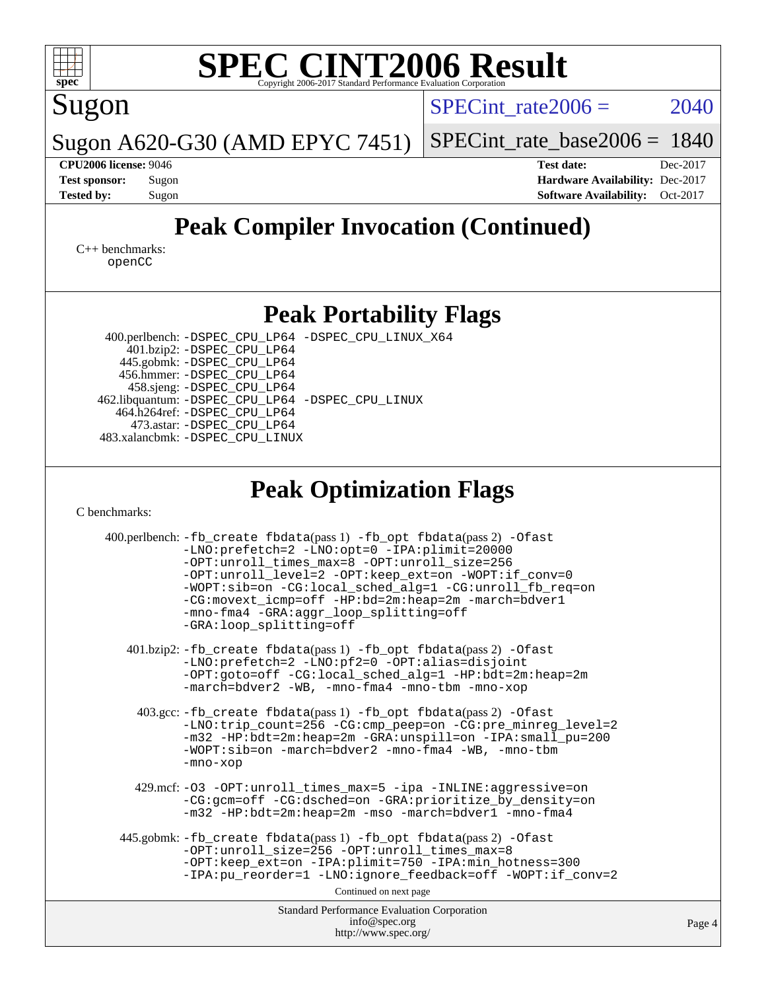

Standard Performance Evaluation Corporation [info@spec.org](mailto:info@spec.org) <http://www.spec.org/>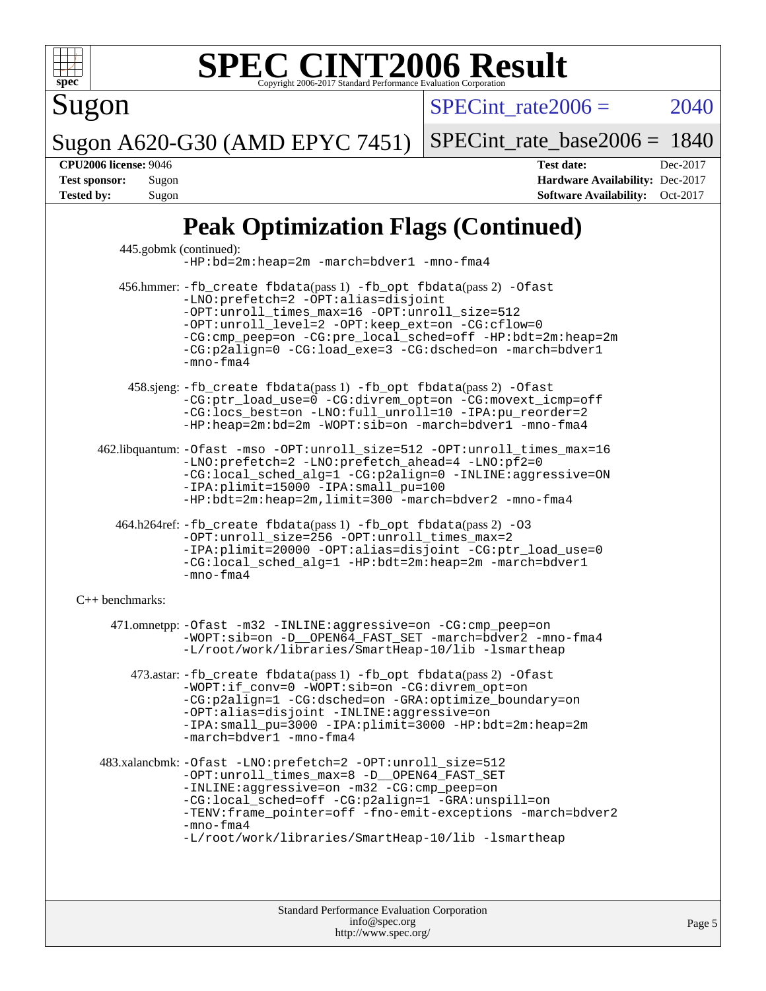

Sugon

 $SPECTnt_rate2006 = 2040$ 

Page 5

Sugon A620-G30 (AMD EPYC 7451) [SPECint\\_rate\\_base2006 =](http://www.spec.org/auto/cpu2006/Docs/result-fields.html#SPECintratebase2006) 1840

**[CPU2006 license:](http://www.spec.org/auto/cpu2006/Docs/result-fields.html#CPU2006license)** 9046 **[Test date:](http://www.spec.org/auto/cpu2006/Docs/result-fields.html#Testdate)** Dec-2017 **[Test sponsor:](http://www.spec.org/auto/cpu2006/Docs/result-fields.html#Testsponsor)** Sugon **[Hardware Availability:](http://www.spec.org/auto/cpu2006/Docs/result-fields.html#HardwareAvailability)** Dec-2017 **[Tested by:](http://www.spec.org/auto/cpu2006/Docs/result-fields.html#Testedby)** Sugon **[Software Availability:](http://www.spec.org/auto/cpu2006/Docs/result-fields.html#SoftwareAvailability)** Oct-2017

# **[Peak Optimization Flags \(Continued\)](http://www.spec.org/auto/cpu2006/Docs/result-fields.html#PeakOptimizationFlags)**

|                      | Standard Performance Evaluation Corporation<br>info@spec.org                                                                                                                                                                                                                                                                                            | Paq |
|----------------------|---------------------------------------------------------------------------------------------------------------------------------------------------------------------------------------------------------------------------------------------------------------------------------------------------------------------------------------------------------|-----|
|                      |                                                                                                                                                                                                                                                                                                                                                         |     |
|                      | 483.xalancbmk: -Ofast -LNO:prefetch=2 -OPT:unroll_size=512<br>-OPT:unroll_times_max=8 -D__OPEN64_FAST_SET<br>-INLINE:aggressive=on -m32 -CG:cmp_peep=on<br>-CG:local_sched=off -CG:p2align=1 -GRA:unspill=on<br>-TENV: frame_pointer=off -fno-emit-exceptions -march=bdver2<br>$-mno-fma4$<br>-L/root/work/libraries/SmartHeap-10/lib -lsmartheap       |     |
|                      | 473.astar: -fb_create fbdata(pass 1) -fb_opt fbdata(pass 2) -Ofast<br>-WOPT:if_conv=0 -WOPT:sib=on -CG:divrem_opt=on<br>-CG:p2align=1 -CG:dsched=on -GRA:optimize_boundary=on<br>-OPT:alias=disjoint -INLINE:aggressive=on<br>-IPA:small_pu=3000 -IPA:plimit=3000 -HP:bdt=2m:heap=2m<br>-march=bdver1 -mno-fma4                                         |     |
|                      | 471.omnetpp: - Ofast -m32 - INLINE: aggressive=on -CG: cmp_peep=on<br>-WOPT:sib=on -D__OPEN64_FAST_SET -march=bdver2 -mno-fma4<br>-L/root/work/libraries/SmartHeap-10/lib -lsmartheap                                                                                                                                                                   |     |
| $C_{++}$ benchmarks: |                                                                                                                                                                                                                                                                                                                                                         |     |
|                      | 464.h264ref: -fb_create fbdata(pass 1) -fb_opt fbdata(pass 2) -03<br>-OPT:unroll_size=256 -OPT:unroll_times_max=2<br>-IPA:plimit=20000 -OPT:alias=disjoint -CG:ptr_load_use=0<br>-CG:local_sched_alg=1 -HP:bdt=2m:heap=2m -march=bdver1<br>$-mno-fma4$                                                                                                  |     |
|                      | 462.libquantum: -Ofast -mso -OPT:unroll_size=512 -OPT:unroll_times_max=16<br>-LNO:prefetch=2 -LNO:prefetch_ahead=4 -LNO:pf2=0<br>-CG:local_sched_alg=1 -CG:p2align=0 -INLINE:aggressive=ON<br>-IPA:plimit=15000 -IPA:small_pu=100<br>$-HP:bdt=2m:heap=2m, limit=300$ -march=bdver2 -mno-fma4                                                            |     |
|                      | 458.sjeng: -fb_create fbdata(pass 1) -fb_opt fbdata(pass 2) -Ofast<br>-CG:ptr_load_use=0 -CG:divrem_opt=on -CG:movext_icmp=off<br>-CG:locs_best=on -LNO:full_unroll=10 -IPA:pu_reorder=2<br>-HP:heap=2m:bd=2m -WOPT:sib=on -march=bdver1 -mno-fma4                                                                                                      |     |
|                      | 456.hmmer: -fb_create fbdata(pass 1) -fb_opt fbdata(pass 2) -Ofast<br>-LNO: prefetch=2 -OPT: alias=disjoint<br>-OPT:unroll_times_max=16 -OPT:unroll_size=512<br>-OPT:unroll_level=2 -OPT:keep_ext=on -CG:cflow=0<br>-CG:cmp_peep=on -CG:pre_local_sched=off -HP:bdt=2m:heap=2m<br>-CG:p2align=0 -CG:load_exe=3 -CG:dsched=on -march=bdver1<br>-mno-fma4 |     |
|                      | 445.gobmk (continued):<br>$-HP:bd=2m:heap=2m -march=bdver1 -mno-fma4$                                                                                                                                                                                                                                                                                   |     |

<http://www.spec.org/>